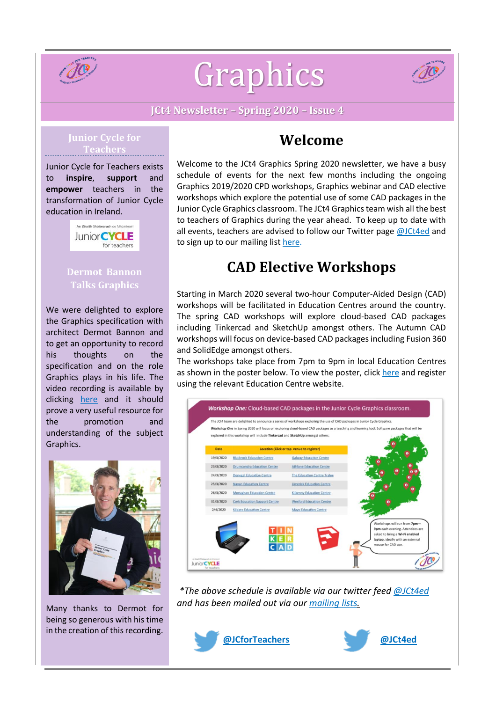

# Graphics



**JCt4 Newsletter – Spring 2020 – Issue 4**

#### **Junior Cycle for Teachers**

Junior Cycle for Teachers exists to **inspire**, **support** and **empower** teachers in the transformation of Junior Cycle education in Ireland.



## **Dermot Bannon Talks Graphics**

We were delighted to explore the Graphics specification with architect Dermot Bannon and to get an opportunity to record his thoughts on the specification and on the role Graphics plays in his life. The video recording is available by clicking [here](https://www.jct.ie/technologies/resources_graphics) and it should prove a very useful resource for the promotion and understanding of the subject Graphics.



Many thanks to Dermot for being so generous with his time in the creation of this recording.

## **Welcome**

Welcome to the JCt4 Graphics Spring 2020 newsletter, we have a busy schedule of events for the next few months including the ongoing Graphics 2019/2020 CPD workshops, Graphics webinar and CAD elective workshops which explore the potential use of some CAD packages in the Junior Cycle Graphics classroom. The JCt4 Graphics team wish all the best to teachers of Graphics during the year ahead. To keep up to date with all events, teachers are advised to follow our Twitter page [@JCt4ed](https://twitter.com/JCt4ed) and to sign up to our mailing list [here.](https://docs.google.com/forms/d/1Qy2bpfqL6a5-k-qMYT_MtP0NL0oxLNUZKlxq1hI_gzY/viewform?edit_requested=true)

# **CAD Elective Workshops**

Starting in March 2020 several two-hour Computer-Aided Design (CAD) workshops will be facilitated in Education Centres around the country. The spring CAD workshops will explore cloud-based CAD packages including Tinkercad and SketchUp amongst others. The Autumn CAD workshops will focus on device-based CAD packages including Fusion 360 and SolidEdge amongst others.

The workshops take place from 7pm to 9pm in local Education Centres as shown in the poster below. To view the poster, click [here](https://www.jct.ie/perch/resources/about/cloud-based-cad-packages-in-jc-graphics-classroom.pdf) and register using the relevant Education Centre website.



*\*The above schedule is available via our twitter feed [@JCt4ed](https://twitter.com/JCt4ed) and has been mailed out via our [mailing](https://docs.google.com/forms/d/1Qy2bpfqL6a5-k-qMYT_MtP0NL0oxLNUZKlxq1hI_gzY/viewform?edit_requested=true) lists.*